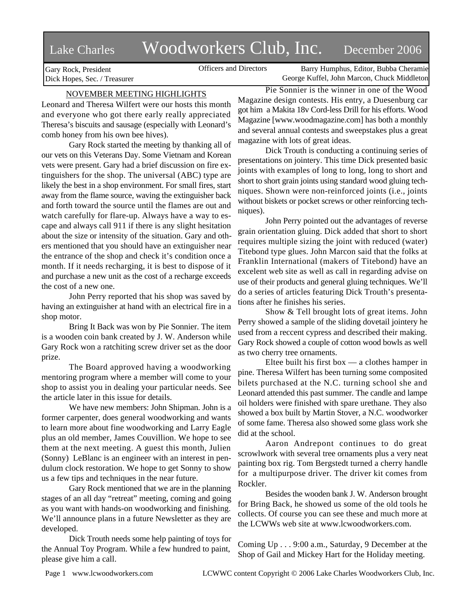# Lake Charles Woodworkers Club, Inc. December 2006

Gary Rock, President Dick Hopes, Sec. / Treasurer

Officers and Directors Barry Humphus, Editor, Bubba Cheramie George Kuffel, John Marcon, Chuck Middleton

# NOVEMBER MEETING HIGHLIGHTS

Leonard and Theresa Wilfert were our hosts this month and everyone who got there early really appreciated Theresa's biscuits and sausage (especially with Leonard's comb honey from his own bee hives).

Gary Rock started the meeting by thanking all of our vets on this Veterans Day. Some Vietnam and Korean vets were present. Gary had a brief discussion on fire extinguishers for the shop. The universal (ABC) type are likely the best in a shop environment. For small fires, start away from the flame source, waving the extinguisher back and forth toward the source until the flames are out and watch carefully for flare-up. Always have a way to escape and always call 911 if there is any slight hesitation about the size or intensity of the situation. Gary and others mentioned that you should have an extinguisher near the entrance of the shop and check it's condition once a month. If it needs recharging, it is best to dispose of it and purchase a new unit as the cost of a recharge exceeds the cost of a new one.

John Perry reported that his shop was saved by having an extinguisher at hand with an electrical fire in a shop motor.

Bring It Back was won by Pie Sonnier. The item is a wooden coin bank created by J. W. Anderson while Gary Rock won a ratchiting screw driver set as the door prize.

The Board approved having a woodworking mentoring program where a member will come to your shop to assist you in dealing your particular needs. See the article later in this issue for details.

We have new members: John Shipman. John is a former carpenter, does general woodworking and wants to learn more about fine woodworking and Larry Eagle plus an old member, James Couvillion. We hope to see them at the next meeting. A guest this month, Julien (Sonny) LeBlanc is an engineer with an interest in pendulum clock restoration. We hope to get Sonny to show us a few tips and techniques in the near future.

Gary Rock mentioned that we are in the planning stages of an all day "retreat" meeting, coming and going as you want with hands-on woodworking and finishing. We'll announce plans in a future Newsletter as they are developed.

Dick Trouth needs some help painting of toys for the Annual Toy Program. While a few hundred to paint, please give him a call.

Pie Sonnier is the winner in one of the Wood Magazine design contests. His entry, a Duesenburg car got him a Makita 18v Cord-less Drill for his efforts. Wood Magazine [www.woodmagazine.com] has both a monthly and several annual contests and sweepstakes plus a great magazine with lots of great ideas.

Dick Trouth is conducting a continuing series of presentations on jointery. This time Dick presented basic joints with examples of long to long, long to short and short to short grain joints using standard wood gluing techniques. Shown were non-reinforced joints (i.e., joints without biskets or pocket screws or other reinforcing techniques).

John Perry pointed out the advantages of reverse grain orientation gluing. Dick added that short to short requires multiple sizing the joint with reduced (water) Titebond type glues. John Marcon said that the folks at Franklin International (makers of Titebond) have an excelent web site as well as call in regarding advise on use of their products and general gluing techniques. We'll do a series of articles featuring Dick Trouth's presentations after he finishes his series.

Show & Tell brought lots of great items. John Perry showed a sample of the sliding dovetail jointery he used from a reccent cypress and described their making. Gary Rock showed a couple of cotton wood bowls as well as two cherry tree ornaments.

Eltee built his first  $box - a$  clothes hamper in pine. Theresa Wilfert has been turning some composited bilets purchased at the N.C. turning school she and Leonard attended this past summer. The candle and lampe oil holders were finished with spare urethane. They also showed a box built by Martin Stover, a N.C. woodworker of some fame. Theresa also showed some glass work she did at the school.

Aaron Andrepont continues to do great scrowlwork with several tree ornaments plus a very neat painting box rig. Tom Bergstedt turned a cherry handle for a multipurpose driver. The driver kit comes from Rockler.

Besides the wooden bank J. W. Anderson brought for Bring Back, he showed us some of the old tools he collects. Of course you can see these and much more at the LCWWs web site at www.lcwoodworkers.com.

Coming Up . . . 9:00 a.m., Saturday, 9 December at the Shop of Gail and Mickey Hart for the Holiday meeting.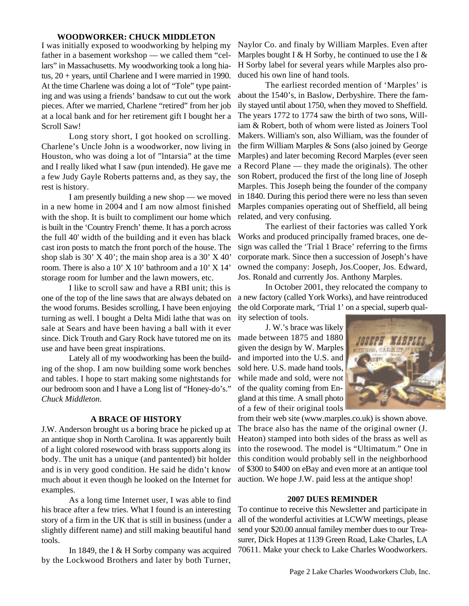# **WOODWORKER: CHUCK MIDDLETON**

I was initially exposed to woodworking by helping my father in a basement workshop — we called them "cellars" in Massachusetts. My woodworking took a long hiatus, 20 + years, until Charlene and I were married in 1990. At the time Charlene was doing a lot of "Tole" type painting and was using a friends' bandsaw to cut out the work pieces. After we married, Charlene "retired" from her job at a local bank and for her retirement gift I bought her a Scroll Saw!

Long story short, I got hooked on scrolling. Charlene's Uncle John is a woodworker, now living in Houston, who was doing a lot of "lntarsia" at the time and I really liked what I saw (pun intended). He gave me a few Judy Gayle Roberts patterns and, as they say, the rest is history.

I am presently building a new shop — we moved in a new home in 2004 and I am now almost finished with the shop. It is built to compliment our home which is built in the 'Country French' theme. It has a porch across the full 40' width of the building and it even has black cast iron posts to match the front porch of the house. The shop slab is 30' X 40'; the main shop area is a 30' X 40' room. There is also a 10' X 10' bathroom and a 10' X 14' storage room for lumber and the lawn mowers, etc.

I like to scroll saw and have a RBI unit; this is one of the top of the line saws that are always debated on the wood forums. Besides scrolling, I have been enjoying turning as well. I bought a Delta Midi lathe that was on sale at Sears and have been having a ball with it ever since. Dick Trouth and Gary Rock have tutored me on its use and have been great inspirations.

Lately all of my woodworking has been the building of the shop. I am now building some work benches and tables. I hope to start making some nightstands for our bedroom soon and I have a Long list of "Honey-do's." *Chuck Middleton*.

#### **A BRACE OF HISTORY**

J.W. Anderson brought us a boring brace he picked up at an antique shop in North Carolina. It was apparently built of a light colored rosewood with brass supports along its body. The unit has a unique (and pantented) bit holder and is in very good condition. He said he didn't know much about it even though he looked on the Internet for examples.

As a long time Internet user, I was able to find his brace after a few tries. What I found is an interesting story of a firm in the UK that is still in business (under a slightly different name) and still making beautiful hand tools.

In 1849, the I & H Sorby company was acquired by the Lockwood Brothers and later by both Turner,

Naylor Co. and finaly by William Marples. Even after Marples bought I & H Sorby, he continued to use the I  $\&$ H Sorby label for several years while Marples also produced his own line of hand tools.

The earliest recorded mention of 'Marples' is about the 1540's, in Baslow, Derbyshire. There the family stayed until about 1750, when they moved to Sheffield. The years 1772 to 1774 saw the birth of two sons, William & Robert, both of whom were listed as Joiners Tool Makers. William's son, also William, was the founder of the firm William Marples & Sons (also joined by George Marples) and later becoming Record Marples (ever seen a Record Plane — they made the originals). The other son Robert, produced the first of the long line of Joseph Marples. This Joseph being the founder of the company in 1840. During this period there were no less than seven Marples companies operating out of Sheffield, all being related, and very confusing.

The earliest of their factories was called York Works and produced principally framed braces, one design was called the 'Trial 1 Brace' referring to the firms corporate mark. Since then a succession of Joseph's have owned the company: Joseph, Jos.Cooper, Jos. Edward, Jos. Ronald and currently Jos. Anthony Marples.

In October 2001, they relocated the company to a new factory (called York Works), and have reintroduced the old Corporate mark, 'Trial 1' on a special, superb qual-

ity selection of tools.

J. W.'s brace was likely made between 1875 and 1880 given the design by W. Marples and imported into the U.S. and sold here. U.S. made hand tools, while made and sold, were not of the quality coming from England at this time. A small photo of a few of their original tools



from their web site (www.marples.co.uk) is shown above. The brace also has the name of the original owner (J. Heaton) stamped into both sides of the brass as well as into the rosewood. The model is "Ultimatum." One in this condition would probably sell in the neighborhood of \$300 to \$400 on eBay and even more at an antique tool auction. We hope J.W. paid less at the antique shop!

#### **2007 DUES REMINDER**

To continue to receive this Newsletter and participate in all of the wonderful activities at LCWW meetings, please send your \$20.00 annual familey member dues to our Treasurer, Dick Hopes at 1139 Green Road, Lake Charles, LA 70611. Make your check to Lake Charles Woodworkers.